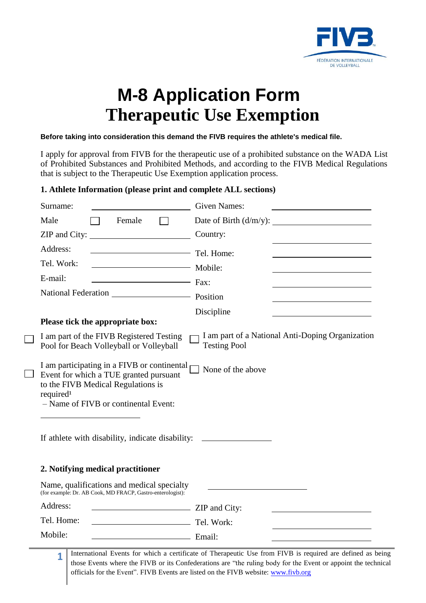

# **M-8 Application Form Therapeutic Use Exemption**

#### **Before taking into consideration this demand the FIVB requires the athlete's medical file.**

I apply for approval from FIVB for the therapeutic use of a prohibited substance on the WADA List of Prohibited Substances and Prohibited Methods, and according to the FIVB Medical Regulations that is subject to the Therapeutic Use Exemption application process.

## **1. Athlete Information (please print and complete ALL sections)**

| Surname:                                                                                                                                                                                     | <b>Given Names:</b>       |  |
|----------------------------------------------------------------------------------------------------------------------------------------------------------------------------------------------|---------------------------|--|
| Male<br>Female                                                                                                                                                                               | Date of Birth $(d/m/y)$ : |  |
| ZIP and City:                                                                                                                                                                                | Country:                  |  |
| Address:                                                                                                                                                                                     | Tel. Home:                |  |
| Tel. Work:                                                                                                                                                                                   | Mobile:                   |  |
| E-mail:<br>$\overline{\phantom{a}}$ Fax:                                                                                                                                                     |                           |  |
|                                                                                                                                                                                              |                           |  |
|                                                                                                                                                                                              | Discipline                |  |
| Please tick the appropriate box:                                                                                                                                                             |                           |  |
| I am part of a National Anti-Doping Organization<br>I am part of the FIVB Registered Testing<br><b>Testing Pool</b><br>Pool for Beach Volleyball or Volleyball                               |                           |  |
| I am participating in a FIVB or continental<br>Event for which a TUE granted pursuant<br>to the FIVB Medical Regulations is<br>required <sup>1</sup><br>- Name of FIVB or continental Event: | None of the above         |  |
| If athlete with disability, indicate disability: _______________________________                                                                                                             |                           |  |
| 2. Notifying medical practitioner                                                                                                                                                            |                           |  |
| Name, qualifications and medical specialty<br>(for example: Dr. AB Cook, MD FRACP, Gastro-enterologist):                                                                                     |                           |  |
| Address:<br>ZIP and City:                                                                                                                                                                    |                           |  |
| Tel. Home:<br>Tel. Work:                                                                                                                                                                     |                           |  |
| Mobile:<br>Email:                                                                                                                                                                            |                           |  |
|                                                                                                                                                                                              |                           |  |

**1** International Events for which a certificate of Therapeutic Use from FIVB is required are defined as being those Events where the FIVB or its Confederations are "the ruling body for the Event or appoint the technical officials for the Event". FIVB Events are listed on the FIVB website: www.fivb.org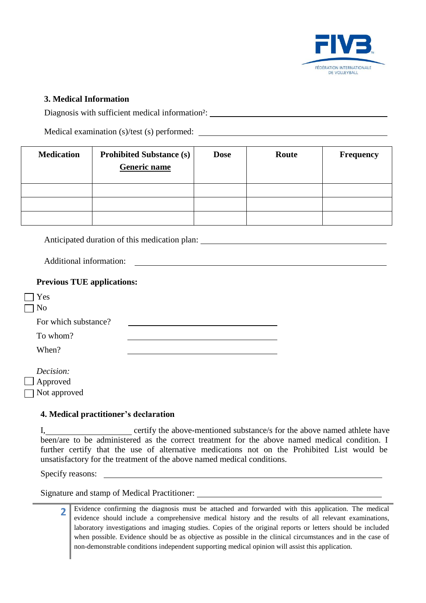

## **3. Medical Information**

Diagnosis with sufficient medical information²:

Medical examination (s)/test (s) performed:

| <b>Medication</b> | <b>Prohibited Substance (s)</b><br><b>Generic name</b> | <b>Dose</b> | Route | <b>Frequency</b> |
|-------------------|--------------------------------------------------------|-------------|-------|------------------|
|                   |                                                        |             |       |                  |
|                   |                                                        |             |       |                  |
|                   |                                                        |             |       |                  |

Anticipated duration of this medication plan:

Additional information:

| <b>Previous TUE applications:</b> |  |
|-----------------------------------|--|
| Yes<br>No                         |  |
| For which substance?              |  |
| To whom?                          |  |
| When?                             |  |
| Decision:                         |  |
| $\Box$ Approved                   |  |
| Not approved                      |  |

#### **4. Medical practitioner's declaration**

I, certify the above-mentioned substance/s for the above named athlete have been/are to be administered as the correct treatment for the above named medical condition. I further certify that the use of alternative medications not on the Prohibited List would be unsatisfactory for the treatment of the above named medical conditions.

Specify reasons:

Signature and stamp of Medical Practitioner:

**2** Evidence confirming the diagnosis must be attached and forwarded with this application. The medical evidence should include a comprehensive medical history and the results of all relevant examinations, laboratory investigations and imaging studies. Copies of the original reports or letters should be included when possible. Evidence should be as objective as possible in the clinical circumstances and in the case of non-demonstrable conditions independent supporting medical opinion will assist this application.